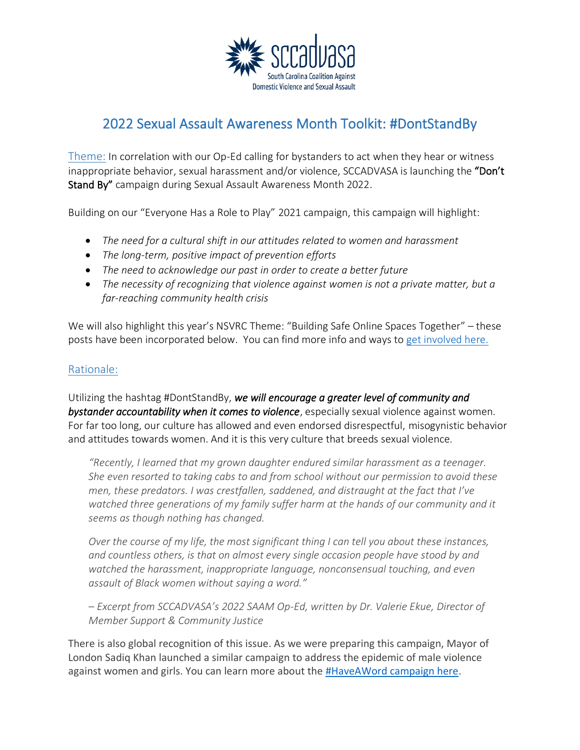

# 2022 Sexual Assault Awareness Month Toolkit: #DontStandBy

Theme: In correlation with our Op-Ed calling for bystanders to act when they hear or witness inappropriate behavior, sexual harassment and/or violence, SCCADVASA is launching the "Don't Stand By" campaign during Sexual Assault Awareness Month 2022.

Building on our "Everyone Has a Role to Play" 2021 campaign, this campaign will highlight:

- *The need for a cultural shift in our attitudes related to women and harassment*
- *The long-term, positive impact of prevention efforts*
- *The need to acknowledge our past in order to create a better future*
- *The necessity of recognizing that violence against women is not a private matter, but a far-reaching community health crisis*

We will also highlight this year's NSVRC Theme: "Building Safe Online Spaces Together" – these posts have been incorporated below. You can find more info and ways to [get involved here.](https://www.nsvrc.org/saam)

## Rationale:

Utilizing the hashtag #DontStandBy, *we will encourage a greater level of community and bystander accountability when it comes to violence*, especially sexual violence against women. For far too long, our culture has allowed and even endorsed disrespectful, misogynistic behavior and attitudes towards women. And it is this very culture that breeds sexual violence.

*"Recently, I learned that my grown daughter endured similar harassment as a teenager. She even resorted to taking cabs to and from school without our permission to avoid these men, these predators. I was crestfallen, saddened, and distraught at the fact that I've watched three generations of my family suffer harm at the hands of our community and it seems as though nothing has changed.* 

*Over the course of my life, the most significant thing I can tell you about these instances, and countless others, is that on almost every single occasion people have stood by and watched the harassment, inappropriate language, nonconsensual touching, and even assault of Black women without saying a word."* 

*– Excerpt from SCCADVASA's 2022 SAAM Op-Ed, written by Dr. Valerie Ekue, Director of Member Support & Community Justice*

There is also global recognition of this issue. As we were preparing this campaign, Mayor of London Sadiq Khan launched a similar campaign to address the epidemic of male violence against women and girls. You can learn more about the [#HaveAWord campaign here.](https://www.london.gov.uk/content/have-a-word)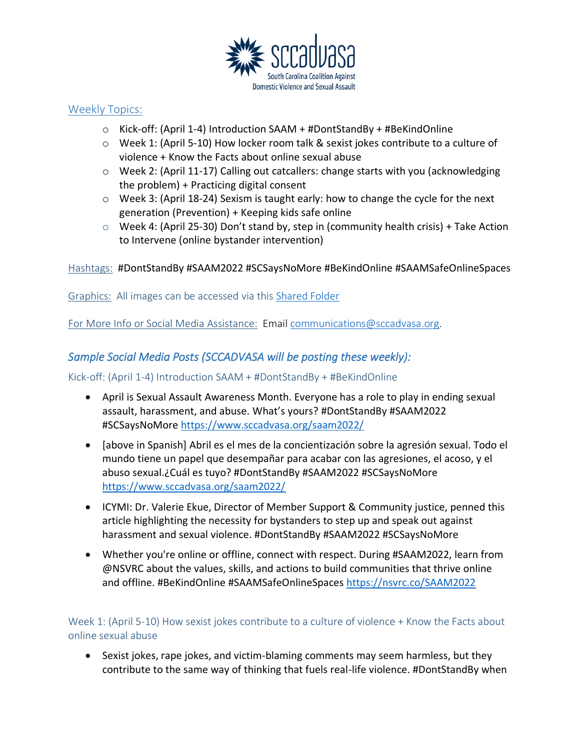

## Weekly Topics:

- o Kick-off: (April 1-4) Introduction SAAM + #DontStandBy + #BeKindOnline
- $\circ$  Week 1: (April 5-10) How locker room talk & sexist jokes contribute to a culture of violence + Know the Facts about online sexual abuse
- o Week 2: (April 11-17) Calling out catcallers: change starts with you (acknowledging the problem) + Practicing digital consent
- $\circ$  Week 3: (April 18-24) Sexism is taught early: how to change the cycle for the next generation (Prevention) + Keeping kids safe online
- $\circ$  Week 4: (April 25-30) Don't stand by, step in (community health crisis) + Take Action to Intervene (online bystander intervention)

Hashtags: #DontStandBy #SAAM2022 #SCSaysNoMore #BeKindOnline #SAAMSafeOnlineSpaces

Graphics: All images can be accessed via this [Shared Folder](https://scc247.sharepoint.com/:f:/g/EqxuKFpDz9tMshFq2MDk7JcBZkKVQw5eT2jEBxtIwVo5Zw?e=44l0mK)

For More Info or Social Media Assistance: Email [communications@sccadvasa.org.](mailto:communications@sccadvasa.org)

# *Sample Social Media Posts (SCCADVASA will be posting these weekly):*

### Kick-off: (April 1-4) Introduction SAAM + #DontStandBy + #BeKindOnline

- April is Sexual Assault Awareness Month. Everyone has a role to play in ending sexual assault, harassment, and abuse. What's yours? #DontStandBy #SAAM2022 #SCSaysNoMore <https://www.sccadvasa.org/saam2022/>
- [above in Spanish] Abril es el mes de la concientización sobre la agresión sexual. Todo el mundo tiene un papel que desempañar para acabar con las agresiones, el acoso, y el abuso sexual.¿Cuál es tuyo? #DontStandBy #SAAM2022 #SCSaysNoMore <https://www.sccadvasa.org/saam2022/>
- ICYMI: Dr. Valerie Ekue, Director of Member Support & Community justice, penned this article highlighting the necessity for bystanders to step up and speak out against harassment and sexual violence. #DontStandBy #SAAM2022 #SCSaysNoMore
- Whether you're online or offline, connect with respect. During #SAAM2022, learn from @NSVRC about the values, skills, and actions to build communities that thrive online and offline. #BeKindOnline #SAAMSafeOnlineSpaces <https://nsvrc.co/SAAM2022>

## Week 1: (April 5-10) How sexist jokes contribute to a culture of violence + Know the Facts about online sexual abuse

• Sexist jokes, rape jokes, and victim-blaming comments may seem harmless, but they contribute to the same way of thinking that fuels real-life violence. #DontStandBy when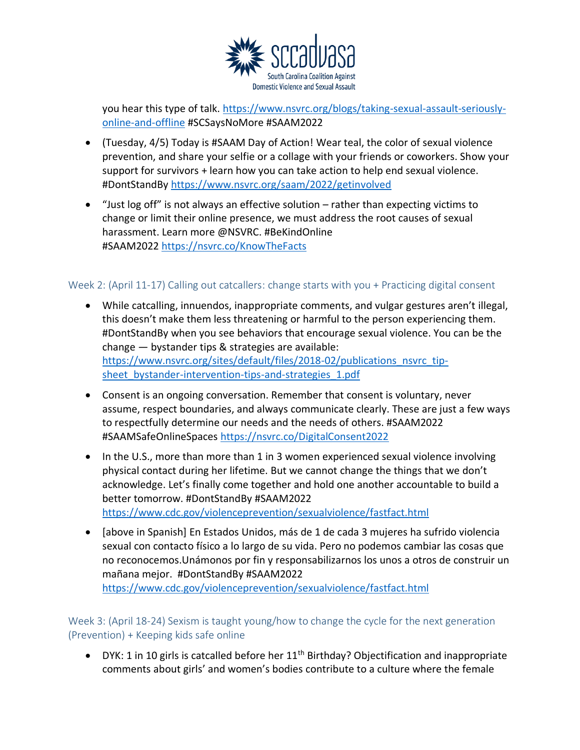

you hear this type of talk. [https://www.nsvrc.org/blogs/taking-sexual-assault-seriously](https://www.nsvrc.org/blogs/taking-sexual-assault-seriously-online-and-offline)[online-and-offline](https://www.nsvrc.org/blogs/taking-sexual-assault-seriously-online-and-offline) #SCSaysNoMore #SAAM2022

- (Tuesday, 4/5) Today is #SAAM Day of Action! Wear teal, the color of sexual violence prevention, and share your selfie or a collage with your friends or coworkers. Show your support for survivors + learn how you can take action to help end sexual violence. #DontStandBy<https://www.nsvrc.org/saam/2022/getinvolved>
- "Just log off" is not always an effective solution rather than expecting victims to change or limit their online presence, we must address the root causes of sexual harassment. Learn more @NSVRC. #BeKindOnline #SAAM2022 <https://nsvrc.co/KnowTheFacts>

### Week 2: (April 11-17) Calling out catcallers: change starts with you + Practicing digital consent

- While catcalling, innuendos, inappropriate comments, and vulgar gestures aren't illegal, this doesn't make them less threatening or harmful to the person experiencing them. #DontStandBy when you see behaviors that encourage sexual violence. You can be the change — bystander tips & strategies are available: [https://www.nsvrc.org/sites/default/files/2018-02/publications\\_nsvrc\\_tip](https://www.nsvrc.org/sites/default/files/2018-02/publications_nsvrc_tip-sheet_bystander-intervention-tips-and-strategies_1.pdf)sheet bystander-intervention-tips-and-strategies 1.pdf
- Consent is an ongoing conversation. Remember that consent is voluntary, never assume, respect boundaries, and always communicate clearly. These are just a few ways to respectfully determine our needs and the needs of others. #SAAM2022 #SAAMSafeOnlineSpaces <https://nsvrc.co/DigitalConsent2022>
- In the U.S., more than more than 1 in 3 women experienced sexual violence involving physical contact during her lifetime. But we cannot change the things that we don't acknowledge. Let's finally come together and hold one another accountable to build a better tomorrow. #DontStandBy #SAAM2022 <https://www.cdc.gov/violenceprevention/sexualviolence/fastfact.html>
- [above in Spanish] En Estados Unidos, más de 1 de cada 3 mujeres ha sufrido violencia sexual con contacto físico a lo largo de su vida. Pero no podemos cambiar las cosas que no reconocemos.Unámonos por fin y responsabilizarnos los unos a otros de construir un mañana mejor. #DontStandBy #SAAM2022

<https://www.cdc.gov/violenceprevention/sexualviolence/fastfact.html>

Week 3: (April 18-24) Sexism is taught young/how to change the cycle for the next generation (Prevention) + Keeping kids safe online

• DYK: 1 in 10 girls is catcalled before her  $11<sup>th</sup>$  Birthday? Objectification and inappropriate comments about girls' and women's bodies contribute to a culture where the female